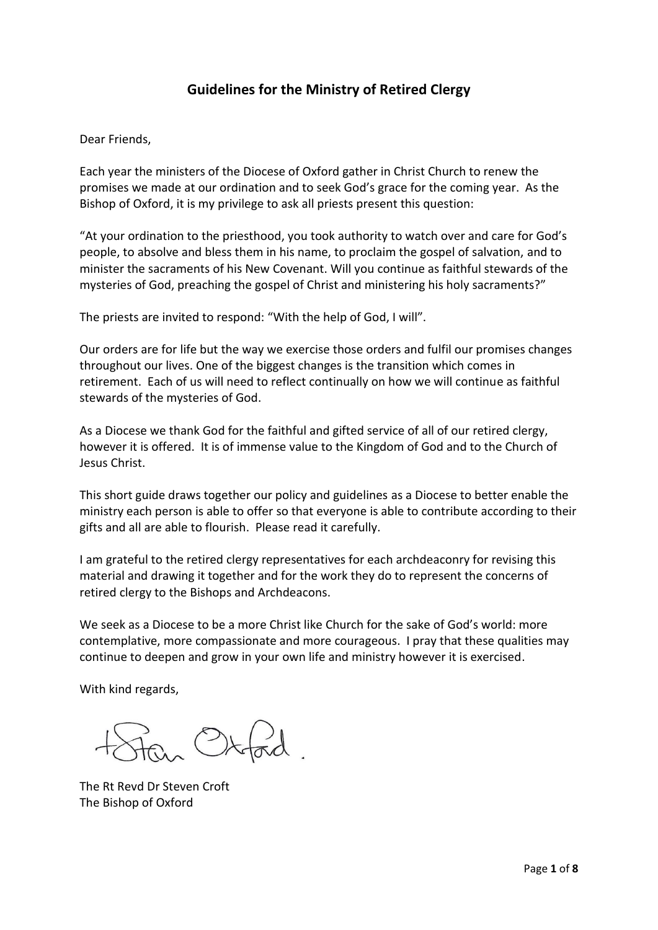# **Guidelines for the Ministry of Retired Clergy**

Dear Friends,

Each year the ministers of the Diocese of Oxford gather in Christ Church to renew the promises we made at our ordination and to seek God's grace for the coming year. As the Bishop of Oxford, it is my privilege to ask all priests present this question:

"At your ordination to the priesthood, you took authority to watch over and care for God's people, to absolve and bless them in his name, to proclaim the gospel of salvation, and to minister the sacraments of his New Covenant. Will you continue as faithful stewards of the mysteries of God, preaching the gospel of Christ and ministering his holy sacraments?"

The priests are invited to respond: "With the help of God, I will".

Our orders are for life but the way we exercise those orders and fulfil our promises changes throughout our lives. One of the biggest changes is the transition which comes in retirement. Each of us will need to reflect continually on how we will continue as faithful stewards of the mysteries of God.

As a Diocese we thank God for the faithful and gifted service of all of our retired clergy, however it is offered. It is of immense value to the Kingdom of God and to the Church of Jesus Christ.

This short guide draws together our policy and guidelines as a Diocese to better enable the ministry each person is able to offer so that everyone is able to contribute according to their gifts and all are able to flourish. Please read it carefully.

I am grateful to the retired clergy representatives for each archdeaconry for revising this material and drawing it together and for the work they do to represent the concerns of retired clergy to the Bishops and Archdeacons.

We seek as a Diocese to be a more Christ like Church for the sake of God's world: more contemplative, more compassionate and more courageous. I pray that these qualities may continue to deepen and grow in your own life and ministry however it is exercised.

With kind regards,

 $\overrightarrow{10}$   $\overrightarrow{2}$ 

The Rt Revd Dr Steven Croft The Bishop of Oxford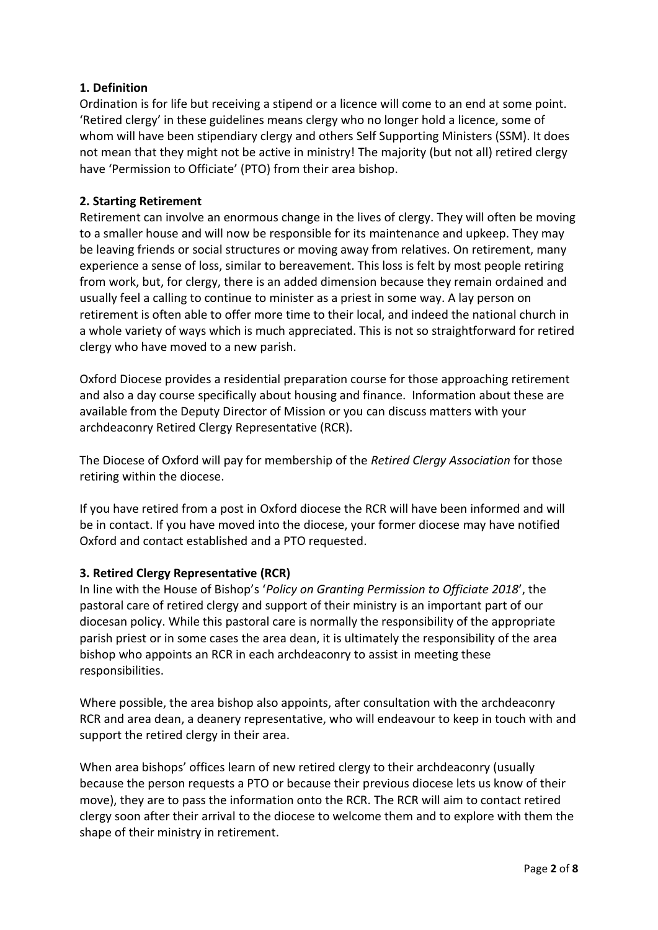## **1. Definition**

Ordination is for life but receiving a stipend or a licence will come to an end at some point. 'Retired clergy' in these guidelines means clergy who no longer hold a licence, some of whom will have been stipendiary clergy and others Self Supporting Ministers (SSM). It does not mean that they might not be active in ministry! The majority (but not all) retired clergy have 'Permission to Officiate' (PTO) from their area bishop.

## **2. Starting Retirement**

Retirement can involve an enormous change in the lives of clergy. They will often be moving to a smaller house and will now be responsible for its maintenance and upkeep. They may be leaving friends or social structures or moving away from relatives. On retirement, many experience a sense of loss, similar to bereavement. This loss is felt by most people retiring from work, but, for clergy, there is an added dimension because they remain ordained and usually feel a calling to continue to minister as a priest in some way. A lay person on retirement is often able to offer more time to their local, and indeed the national church in a whole variety of ways which is much appreciated. This is not so straightforward for retired clergy who have moved to a new parish.

Oxford Diocese provides a residential preparation course for those approaching retirement and also a day course specifically about housing and finance. Information about these are available from the Deputy Director of Mission or you can discuss matters with your archdeaconry Retired Clergy Representative (RCR).

The Diocese of Oxford will pay for membership of the *Retired Clergy Association* for those retiring within the diocese.

If you have retired from a post in Oxford diocese the RCR will have been informed and will be in contact. If you have moved into the diocese, your former diocese may have notified Oxford and contact established and a PTO requested.

## **3. Retired Clergy Representative (RCR)**

In line with the House of Bishop's '*Policy on Granting Permission to Officiate 2018*', the pastoral care of retired clergy and support of their ministry is an important part of our diocesan policy. While this pastoral care is normally the responsibility of the appropriate parish priest or in some cases the area dean, it is ultimately the responsibility of the area bishop who appoints an RCR in each archdeaconry to assist in meeting these responsibilities.

Where possible, the area bishop also appoints, after consultation with the archdeaconry RCR and area dean, a deanery representative, who will endeavour to keep in touch with and support the retired clergy in their area.

When area bishops' offices learn of new retired clergy to their archdeaconry (usually because the person requests a PTO or because their previous diocese lets us know of their move), they are to pass the information onto the RCR. The RCR will aim to contact retired clergy soon after their arrival to the diocese to welcome them and to explore with them the shape of their ministry in retirement.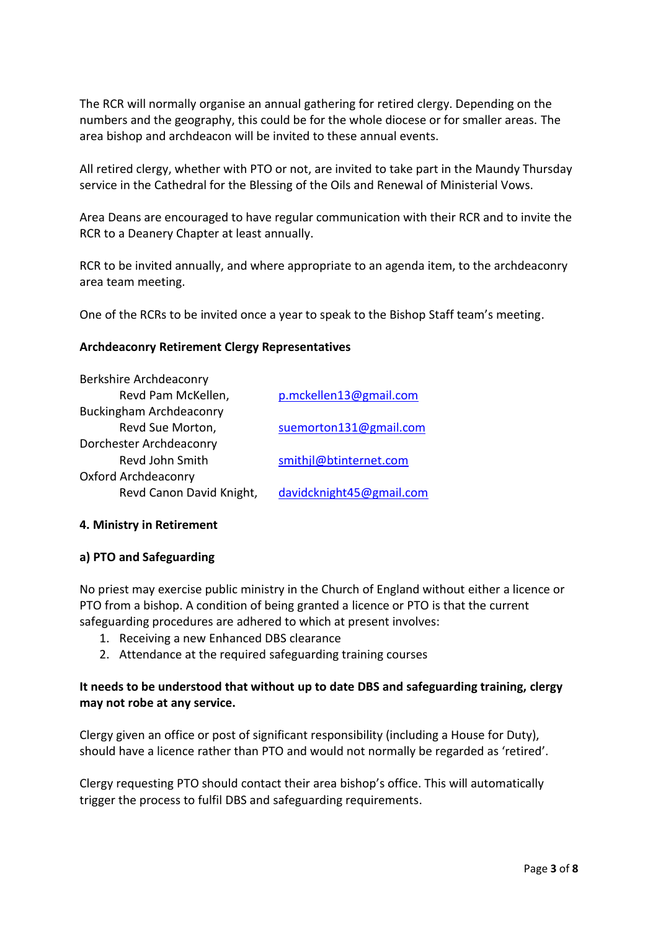The RCR will normally organise an annual gathering for retired clergy. Depending on the numbers and the geography, this could be for the whole diocese or for smaller areas. The area bishop and archdeacon will be invited to these annual events.

All retired clergy, whether with PTO or not, are invited to take part in the Maundy Thursday service in the Cathedral for the Blessing of the Oils and Renewal of Ministerial Vows.

Area Deans are encouraged to have regular communication with their RCR and to invite the RCR to a Deanery Chapter at least annually.

RCR to be invited annually, and where appropriate to an agenda item, to the archdeaconry area team meeting.

One of the RCRs to be invited once a year to speak to the Bishop Staff team's meeting.

#### **Archdeaconry Retirement Clergy Representatives**

| p.mckellen13@gmail.com   |
|--------------------------|
|                          |
| suemorton131@gmail.com   |
|                          |
| smithjl@btinternet.com   |
|                          |
| davidcknight45@gmail.com |
|                          |

#### **4. Ministry in Retirement**

#### **a) PTO and Safeguarding**

No priest may exercise public ministry in the Church of England without either a licence or PTO from a bishop. A condition of being granted a licence or PTO is that the current safeguarding procedures are adhered to which at present involves:

- 1. Receiving a new Enhanced DBS clearance
- 2. Attendance at the required safeguarding training courses

#### **It needs to be understood that without up to date DBS and safeguarding training, clergy may not robe at any service.**

Clergy given an office or post of significant responsibility (including a House for Duty), should have a licence rather than PTO and would not normally be regarded as 'retired'.

Clergy requesting PTO should contact their area bishop's office. This will automatically trigger the process to fulfil DBS and safeguarding requirements.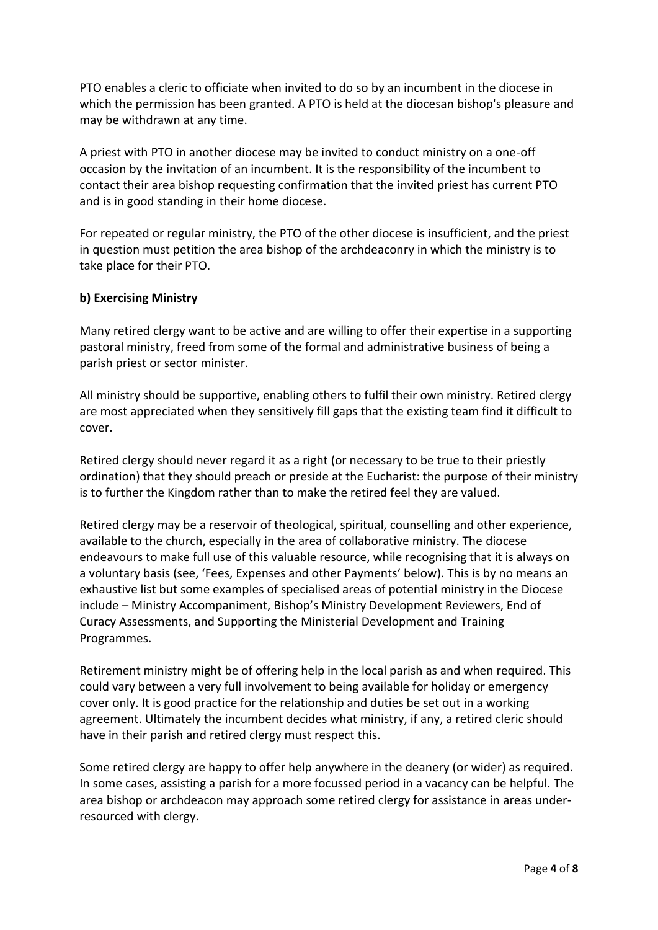PTO enables a cleric to officiate when invited to do so by an incumbent in the diocese in which the permission has been granted. A PTO is held at the diocesan bishop's pleasure and may be withdrawn at any time.

A priest with PTO in another diocese may be invited to conduct ministry on a one-off occasion by the invitation of an incumbent. It is the responsibility of the incumbent to contact their area bishop requesting confirmation that the invited priest has current PTO and is in good standing in their home diocese.

For repeated or regular ministry, the PTO of the other diocese is insufficient, and the priest in question must petition the area bishop of the archdeaconry in which the ministry is to take place for their PTO.

#### **b) Exercising Ministry**

Many retired clergy want to be active and are willing to offer their expertise in a supporting pastoral ministry, freed from some of the formal and administrative business of being a parish priest or sector minister.

All ministry should be supportive, enabling others to fulfil their own ministry. Retired clergy are most appreciated when they sensitively fill gaps that the existing team find it difficult to cover.

Retired clergy should never regard it as a right (or necessary to be true to their priestly ordination) that they should preach or preside at the Eucharist: the purpose of their ministry is to further the Kingdom rather than to make the retired feel they are valued.

Retired clergy may be a reservoir of theological, spiritual, counselling and other experience, available to the church, especially in the area of collaborative ministry. The diocese endeavours to make full use of this valuable resource, while recognising that it is always on a voluntary basis (see, 'Fees, Expenses and other Payments' below). This is by no means an exhaustive list but some examples of specialised areas of potential ministry in the Diocese include – Ministry Accompaniment, Bishop's Ministry Development Reviewers, End of Curacy Assessments, and Supporting the Ministerial Development and Training Programmes.

Retirement ministry might be of offering help in the local parish as and when required. This could vary between a very full involvement to being available for holiday or emergency cover only. It is good practice for the relationship and duties be set out in a working agreement. Ultimately the incumbent decides what ministry, if any, a retired cleric should have in their parish and retired clergy must respect this.

Some retired clergy are happy to offer help anywhere in the deanery (or wider) as required. In some cases, assisting a parish for a more focussed period in a vacancy can be helpful. The area bishop or archdeacon may approach some retired clergy for assistance in areas underresourced with clergy.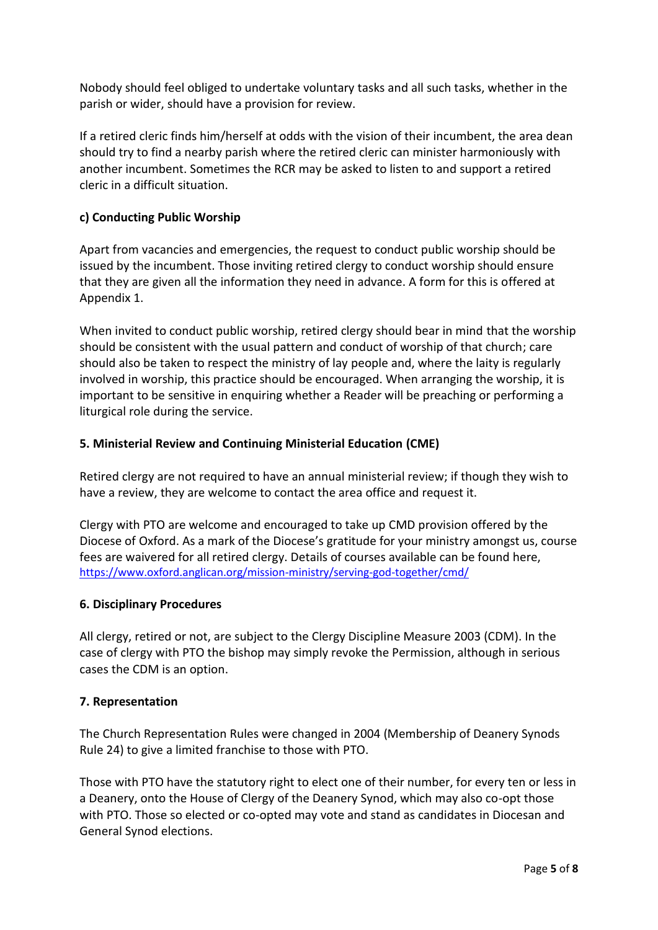Nobody should feel obliged to undertake voluntary tasks and all such tasks, whether in the parish or wider, should have a provision for review.

If a retired cleric finds him/herself at odds with the vision of their incumbent, the area dean should try to find a nearby parish where the retired cleric can minister harmoniously with another incumbent. Sometimes the RCR may be asked to listen to and support a retired cleric in a difficult situation.

### **c) Conducting Public Worship**

Apart from vacancies and emergencies, the request to conduct public worship should be issued by the incumbent. Those inviting retired clergy to conduct worship should ensure that they are given all the information they need in advance. A form for this is offered at Appendix 1.

When invited to conduct public worship, retired clergy should bear in mind that the worship should be consistent with the usual pattern and conduct of worship of that church; care should also be taken to respect the ministry of lay people and, where the laity is regularly involved in worship, this practice should be encouraged. When arranging the worship, it is important to be sensitive in enquiring whether a Reader will be preaching or performing a liturgical role during the service.

#### **5. Ministerial Review and Continuing Ministerial Education (CME)**

Retired clergy are not required to have an annual ministerial review; if though they wish to have a review, they are welcome to contact the area office and request it.

Clergy with PTO are welcome and encouraged to take up CMD provision offered by the Diocese of Oxford. As a mark of the Diocese's gratitude for your ministry amongst us, course fees are waivered for all retired clergy. Details of courses available can be found here, <https://www.oxford.anglican.org/mission-ministry/serving-god-together/cmd/>

#### **6. Disciplinary Procedures**

All clergy, retired or not, are subject to the Clergy Discipline Measure 2003 (CDM). In the case of clergy with PTO the bishop may simply revoke the Permission, although in serious cases the CDM is an option.

#### **7. Representation**

The Church Representation Rules were changed in 2004 (Membership of Deanery Synods Rule 24) to give a limited franchise to those with PTO.

Those with PTO have the statutory right to elect one of their number, for every ten or less in a Deanery, onto the House of Clergy of the Deanery Synod, which may also co-opt those with PTO. Those so elected or co-opted may vote and stand as candidates in Diocesan and General Synod elections.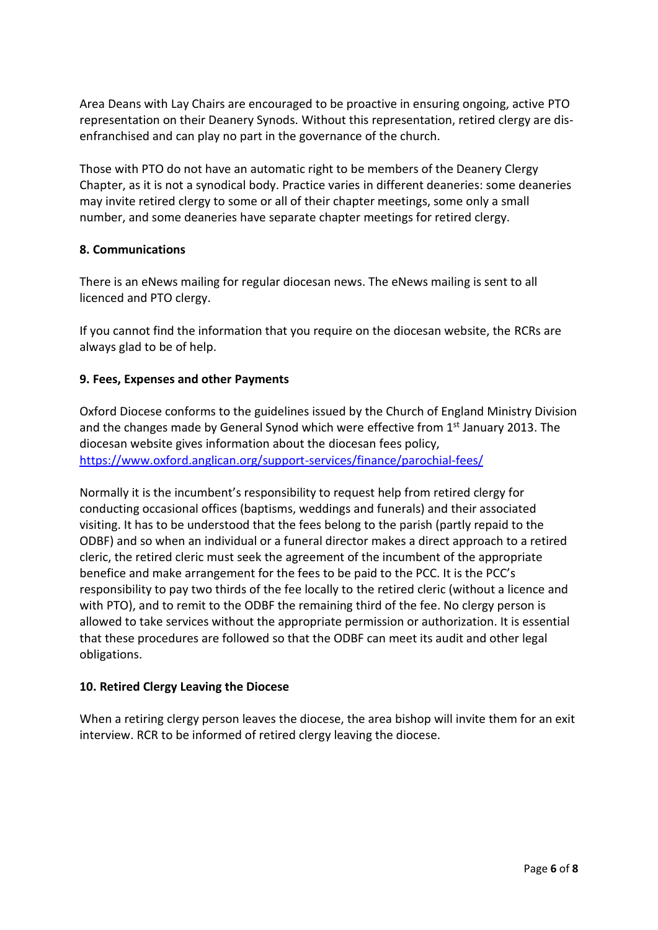Area Deans with Lay Chairs are encouraged to be proactive in ensuring ongoing, active PTO representation on their Deanery Synods. Without this representation, retired clergy are disenfranchised and can play no part in the governance of the church.

Those with PTO do not have an automatic right to be members of the Deanery Clergy Chapter, as it is not a synodical body. Practice varies in different deaneries: some deaneries may invite retired clergy to some or all of their chapter meetings, some only a small number, and some deaneries have separate chapter meetings for retired clergy.

#### **8. Communications**

There is an eNews mailing for regular diocesan news. The eNews mailing is sent to all licenced and PTO clergy.

If you cannot find the information that you require on the diocesan website, the RCRs are always glad to be of help.

#### **9. Fees, Expenses and other Payments**

Oxford Diocese conforms to the guidelines issued by the Church of England Ministry Division and the changes made by General Synod which were effective from 1<sup>st</sup> January 2013. The diocesan website gives information about the diocesan fees policy, <https://www.oxford.anglican.org/support-services/finance/parochial-fees/>

Normally it is the incumbent's responsibility to request help from retired clergy for conducting occasional offices (baptisms, weddings and funerals) and their associated visiting. It has to be understood that the fees belong to the parish (partly repaid to the ODBF) and so when an individual or a funeral director makes a direct approach to a retired cleric, the retired cleric must seek the agreement of the incumbent of the appropriate benefice and make arrangement for the fees to be paid to the PCC. It is the PCC's responsibility to pay two thirds of the fee locally to the retired cleric (without a licence and with PTO), and to remit to the ODBF the remaining third of the fee. No clergy person is allowed to take services without the appropriate permission or authorization. It is essential that these procedures are followed so that the ODBF can meet its audit and other legal obligations.

#### **10. Retired Clergy Leaving the Diocese**

When a retiring clergy person leaves the diocese, the area bishop will invite them for an exit interview. RCR to be informed of retired clergy leaving the diocese.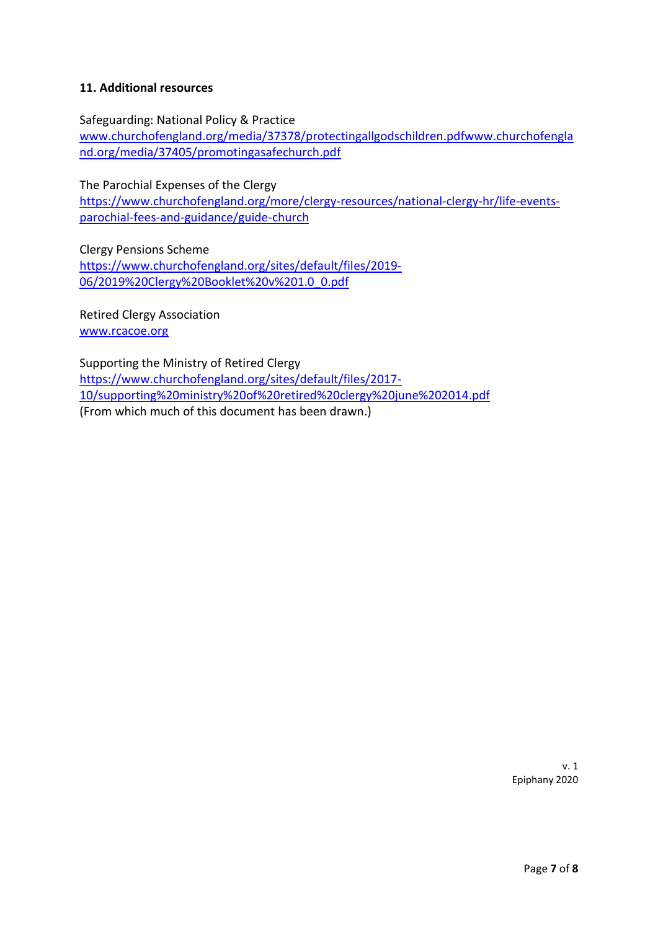#### **11. Additional resources**

Safeguarding: National Policy & Practice

[www.churchofengland.org/media/37378/protectingallgodschildren.pdfwww.churchofengla](http://www.churchofengland.org/media/37378/protectingallgodschildren.pdfwww.churchofengland.org/media/37405/promotingasafechurch.pdf) [nd.org/media/37405/promotingasafechurch.pdf](http://www.churchofengland.org/media/37378/protectingallgodschildren.pdfwww.churchofengland.org/media/37405/promotingasafechurch.pdf)

The Parochial Expenses of the Clergy

[https://www.churchofengland.org/more/clergy-resources/national-clergy-hr/life-events](https://www.churchofengland.org/more/clergy-resources/national-clergy-hr/life-events-parochial-fees-and-guidance/guide-church)[parochial-fees-and-guidance/guide-church](https://www.churchofengland.org/more/clergy-resources/national-clergy-hr/life-events-parochial-fees-and-guidance/guide-church)

Clergy Pensions Scheme [https://www.churchofengland.org/sites/default/files/2019-](https://www.churchofengland.org/sites/default/files/2019-06/2019%20Clergy%20Booklet%20v%201.0_0.pdf) [06/2019%20Clergy%20Booklet%20v%201.0\\_0.pdf](https://www.churchofengland.org/sites/default/files/2019-06/2019%20Clergy%20Booklet%20v%201.0_0.pdf)

Retired Clergy Association [www.rcacoe.org](http://www.rcacoe.org/)

Supporting the Ministry of Retired Clergy [https://www.churchofengland.org/sites/default/files/2017-](https://www.churchofengland.org/sites/default/files/2017-10/supporting%20ministry%20of%20retired%20clergy%20june%202014.pdf) [10/supporting%20ministry%20of%20retired%20clergy%20june%202014.pdf](https://www.churchofengland.org/sites/default/files/2017-10/supporting%20ministry%20of%20retired%20clergy%20june%202014.pdf) (From which much of this document has been drawn.)

> v. 1 Epiphany 2020